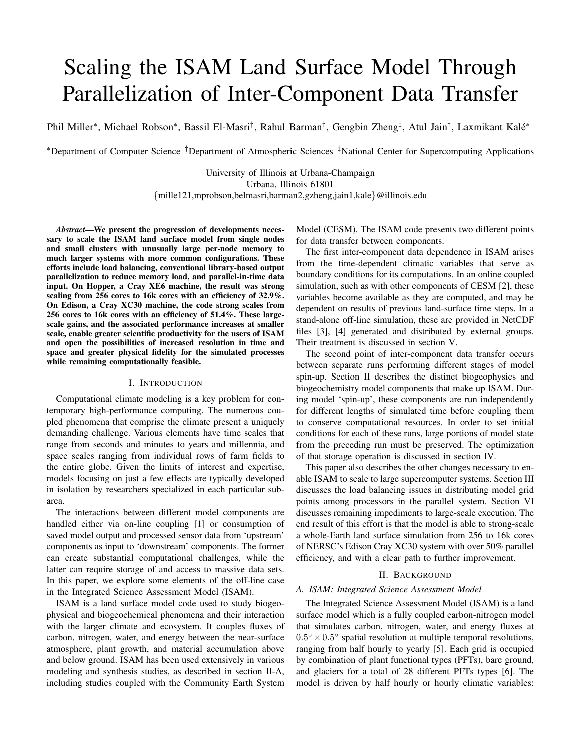# Scaling the ISAM Land Surface Model Through Parallelization of Inter-Component Data Transfer

Phil Miller\*, Michael Robson\*, Bassil El-Masri<sup>†</sup>, Rahul Barman<sup>†</sup>, Gengbin Zheng<sup>‡</sup>, Atul Jain<sup>†</sup>, Laxmikant Kalé\*

<sup>∗</sup>Department of Computer Science †Department of Atmospheric Sciences ‡National Center for Supercomputing Applications

University of Illinois at Urbana-Champaign Urbana, Illinois 61801 {mille121,mprobson,belmasri,barman2,gzheng,jain1,kale}@illinois.edu

*Abstract*—We present the progression of developments necessary to scale the ISAM land surface model from single nodes and small clusters with unusually large per-node memory to much larger systems with more common configurations. These efforts include load balancing, conventional library-based output parallelization to reduce memory load, and parallel-in-time data input. On Hopper, a Cray XE6 machine, the result was strong scaling from 256 cores to 16k cores with an efficiency of 32.9%. On Edison, a Cray XC30 machine, the code strong scales from 256 cores to 16k cores with an efficiency of 51.4%. These largescale gains, and the associated performance increases at smaller scale, enable greater scientific productivity for the users of ISAM and open the possibilities of increased resolution in time and space and greater physical fidelity for the simulated processes while remaining computationally feasible.

#### I. INTRODUCTION

Computational climate modeling is a key problem for contemporary high-performance computing. The numerous coupled phenomena that comprise the climate present a uniquely demanding challenge. Various elements have time scales that range from seconds and minutes to years and millennia, and space scales ranging from individual rows of farm fields to the entire globe. Given the limits of interest and expertise, models focusing on just a few effects are typically developed in isolation by researchers specialized in each particular subarea.

The interactions between different model components are handled either via on-line coupling [1] or consumption of saved model output and processed sensor data from 'upstream' components as input to 'downstream' components. The former can create substantial computational challenges, while the latter can require storage of and access to massive data sets. In this paper, we explore some elements of the off-line case in the Integrated Science Assessment Model (ISAM).

ISAM is a land surface model code used to study biogeophysical and biogeochemical phenomena and their interaction with the larger climate and ecosystem. It couples fluxes of carbon, nitrogen, water, and energy between the near-surface atmosphere, plant growth, and material accumulation above and below ground. ISAM has been used extensively in various modeling and synthesis studies, as described in section II-A, including studies coupled with the Community Earth System

Model (CESM). The ISAM code presents two different points for data transfer between components.

The first inter-component data dependence in ISAM arises from the time-dependent climatic variables that serve as boundary conditions for its computations. In an online coupled simulation, such as with other components of CESM [2], these variables become available as they are computed, and may be dependent on results of previous land-surface time steps. In a stand-alone off-line simulation, these are provided in NetCDF files [3], [4] generated and distributed by external groups. Their treatment is discussed in section V.

The second point of inter-component data transfer occurs between separate runs performing different stages of model spin-up. Section II describes the distinct biogeophysics and biogeochemistry model components that make up ISAM. During model 'spin-up', these components are run independently for different lengths of simulated time before coupling them to conserve computational resources. In order to set initial conditions for each of these runs, large portions of model state from the preceding run must be preserved. The optimization of that storage operation is discussed in section IV.

This paper also describes the other changes necessary to enable ISAM to scale to large supercomputer systems. Section III discusses the load balancing issues in distributing model grid points among processors in the parallel system. Section VI discusses remaining impediments to large-scale execution. The end result of this effort is that the model is able to strong-scale a whole-Earth land surface simulation from 256 to 16k cores of NERSC's Edison Cray XC30 system with over 50% parallel efficiency, and with a clear path to further improvement.

### II. BACKGROUND

# *A. ISAM: Integrated Science Assessment Model*

The Integrated Science Assessment Model (ISAM) is a land surface model which is a fully coupled carbon-nitrogen model that simulates carbon, nitrogen, water, and energy fluxes at  $0.5^{\circ} \times 0.5^{\circ}$  spatial resolution at multiple temporal resolutions, ranging from half hourly to yearly [5]. Each grid is occupied by combination of plant functional types (PFTs), bare ground, and glaciers for a total of 28 different PFTs types [6]. The model is driven by half hourly or hourly climatic variables: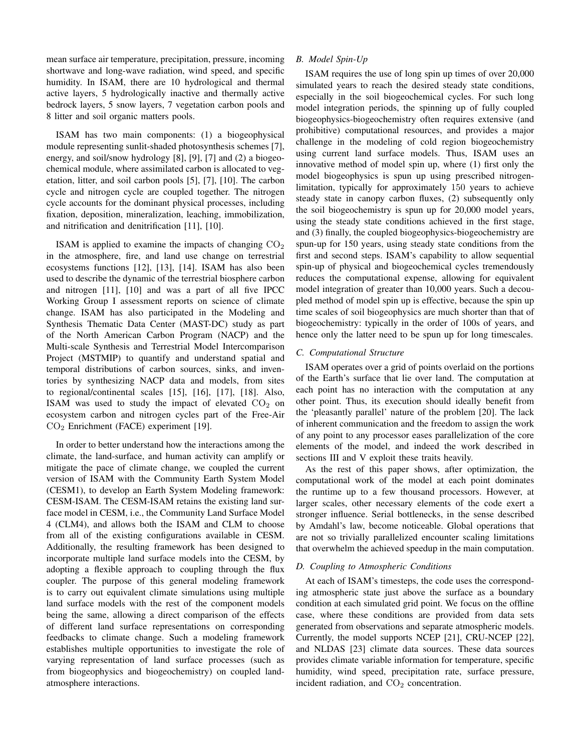mean surface air temperature, precipitation, pressure, incoming shortwave and long-wave radiation, wind speed, and specific humidity. In ISAM, there are 10 hydrological and thermal active layers, 5 hydrologically inactive and thermally active bedrock layers, 5 snow layers, 7 vegetation carbon pools and 8 litter and soil organic matters pools.

ISAM has two main components: (1) a biogeophysical module representing sunlit-shaded photosynthesis schemes [7], energy, and soil/snow hydrology [8], [9], [7] and (2) a biogeochemical module, where assimilated carbon is allocated to vegetation, litter, and soil carbon pools [5], [7], [10]. The carbon cycle and nitrogen cycle are coupled together. The nitrogen cycle accounts for the dominant physical processes, including fixation, deposition, mineralization, leaching, immobilization, and nitrification and denitrification [11], [10].

ISAM is applied to examine the impacts of changing  $CO<sub>2</sub>$ in the atmosphere, fire, and land use change on terrestrial ecosystems functions [12], [13], [14]. ISAM has also been used to describe the dynamic of the terrestrial biosphere carbon and nitrogen [11], [10] and was a part of all five IPCC Working Group I assessment reports on science of climate change. ISAM has also participated in the Modeling and Synthesis Thematic Data Center (MAST-DC) study as part of the North American Carbon Program (NACP) and the Multi-scale Synthesis and Terrestrial Model Intercomparison Project (MSTMIP) to quantify and understand spatial and temporal distributions of carbon sources, sinks, and inventories by synthesizing NACP data and models, from sites to regional/continental scales [15], [16], [17], [18]. Also, ISAM was used to study the impact of elevated  $CO<sub>2</sub>$  on ecosystem carbon and nitrogen cycles part of the Free-Air  $CO<sub>2</sub>$  Enrichment (FACE) experiment [19].

In order to better understand how the interactions among the climate, the land-surface, and human activity can amplify or mitigate the pace of climate change, we coupled the current version of ISAM with the Community Earth System Model (CESM1), to develop an Earth System Modeling framework: CESM-ISAM. The CESM-ISAM retains the existing land surface model in CESM, i.e., the Community Land Surface Model 4 (CLM4), and allows both the ISAM and CLM to choose from all of the existing configurations available in CESM. Additionally, the resulting framework has been designed to incorporate multiple land surface models into the CESM, by adopting a flexible approach to coupling through the flux coupler. The purpose of this general modeling framework is to carry out equivalent climate simulations using multiple land surface models with the rest of the component models being the same, allowing a direct comparison of the effects of different land surface representations on corresponding feedbacks to climate change. Such a modeling framework establishes multiple opportunities to investigate the role of varying representation of land surface processes (such as from biogeophysics and biogeochemistry) on coupled landatmosphere interactions.

# *B. Model Spin-Up*

ISAM requires the use of long spin up times of over 20,000 simulated years to reach the desired steady state conditions, especially in the soil biogeochemical cycles. For such long model integration periods, the spinning up of fully coupled biogeophysics-biogeochemistry often requires extensive (and prohibitive) computational resources, and provides a major challenge in the modeling of cold region biogeochemistry using current land surface models. Thus, ISAM uses an innovative method of model spin up, where (1) first only the model biogeophysics is spun up using prescribed nitrogenlimitation, typically for approximately 150 years to achieve steady state in canopy carbon fluxes, (2) subsequently only the soil biogeochemistry is spun up for 20,000 model years, using the steady state conditions achieved in the first stage, and (3) finally, the coupled biogeophysics-biogeochemistry are spun-up for 150 years, using steady state conditions from the first and second steps. ISAM's capability to allow sequential spin-up of physical and biogeochemical cycles tremendously reduces the computational expense, allowing for equivalent model integration of greater than 10,000 years. Such a decoupled method of model spin up is effective, because the spin up time scales of soil biogeophysics are much shorter than that of biogeochemistry: typically in the order of 100s of years, and hence only the latter need to be spun up for long timescales.

# *C. Computational Structure*

ISAM operates over a grid of points overlaid on the portions of the Earth's surface that lie over land. The computation at each point has no interaction with the computation at any other point. Thus, its execution should ideally benefit from the 'pleasantly parallel' nature of the problem [20]. The lack of inherent communication and the freedom to assign the work of any point to any processor eases parallelization of the core elements of the model, and indeed the work described in sections III and V exploit these traits heavily.

As the rest of this paper shows, after optimization, the computational work of the model at each point dominates the runtime up to a few thousand processors. However, at larger scales, other necessary elements of the code exert a stronger influence. Serial bottlenecks, in the sense described by Amdahl's law, become noticeable. Global operations that are not so trivially parallelized encounter scaling limitations that overwhelm the achieved speedup in the main computation.

# *D. Coupling to Atmospheric Conditions*

At each of ISAM's timesteps, the code uses the corresponding atmospheric state just above the surface as a boundary condition at each simulated grid point. We focus on the offline case, where these conditions are provided from data sets generated from observations and separate atmospheric models. Currently, the model supports NCEP [21], CRU-NCEP [22], and NLDAS [23] climate data sources. These data sources provides climate variable information for temperature, specific humidity, wind speed, precipitation rate, surface pressure, incident radiation, and  $CO<sub>2</sub>$  concentration.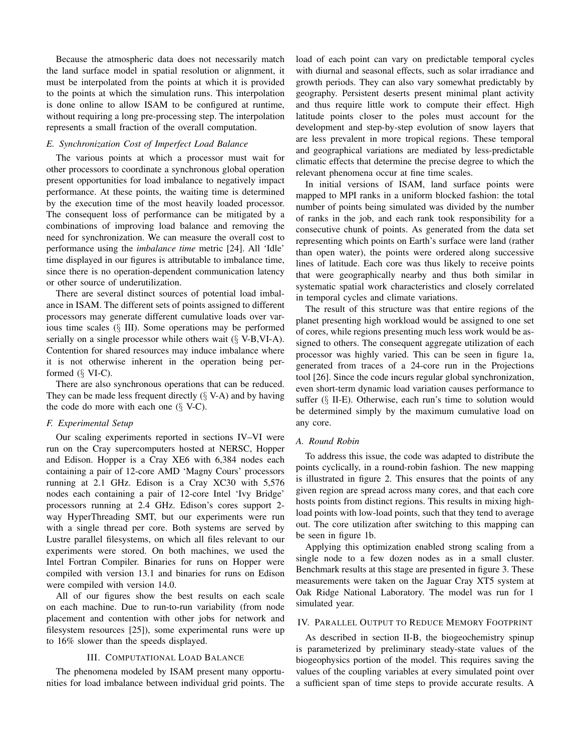Because the atmospheric data does not necessarily match the land surface model in spatial resolution or alignment, it must be interpolated from the points at which it is provided to the points at which the simulation runs. This interpolation is done online to allow ISAM to be configured at runtime, without requiring a long pre-processing step. The interpolation represents a small fraction of the overall computation.

## *E. Synchronization Cost of Imperfect Load Balance*

The various points at which a processor must wait for other processors to coordinate a synchronous global operation present opportunities for load imbalance to negatively impact performance. At these points, the waiting time is determined by the execution time of the most heavily loaded processor. The consequent loss of performance can be mitigated by a combinations of improving load balance and removing the need for synchronization. We can measure the overall cost to performance using the *imbalance time* metric [24]. All 'Idle' time displayed in our figures is attributable to imbalance time, since there is no operation-dependent communication latency or other source of underutilization.

There are several distinct sources of potential load imbalance in ISAM. The different sets of points assigned to different processors may generate different cumulative loads over various time scales (§ III). Some operations may be performed serially on a single processor while others wait  $(\S V-B, VI-A)$ . Contention for shared resources may induce imbalance where it is not otherwise inherent in the operation being performed  $(\S$  VI-C).

There are also synchronous operations that can be reduced. They can be made less frequent directly  $(\S V-A)$  and by having the code do more with each one  $(\S V-C)$ .

# *F. Experimental Setup*

Our scaling experiments reported in sections IV–VI were run on the Cray supercomputers hosted at NERSC, Hopper and Edison. Hopper is a Cray XE6 with 6,384 nodes each containing a pair of 12-core AMD 'Magny Cours' processors running at 2.1 GHz. Edison is a Cray XC30 with 5,576 nodes each containing a pair of 12-core Intel 'Ivy Bridge' processors running at 2.4 GHz. Edison's cores support 2 way HyperThreading SMT, but our experiments were run with a single thread per core. Both systems are served by Lustre parallel filesystems, on which all files relevant to our experiments were stored. On both machines, we used the Intel Fortran Compiler. Binaries for runs on Hopper were compiled with version 13.1 and binaries for runs on Edison were compiled with version 14.0.

All of our figures show the best results on each scale on each machine. Due to run-to-run variability (from node placement and contention with other jobs for network and filesystem resources [25]), some experimental runs were up to 16% slower than the speeds displayed.

# III. COMPUTATIONAL LOAD BALANCE

The phenomena modeled by ISAM present many opportunities for load imbalance between individual grid points. The load of each point can vary on predictable temporal cycles with diurnal and seasonal effects, such as solar irradiance and growth periods. They can also vary somewhat predictably by geography. Persistent deserts present minimal plant activity and thus require little work to compute their effect. High latitude points closer to the poles must account for the development and step-by-step evolution of snow layers that are less prevalent in more tropical regions. These temporal and geographical variations are mediated by less-predictable climatic effects that determine the precise degree to which the relevant phenomena occur at fine time scales.

In initial versions of ISAM, land surface points were mapped to MPI ranks in a uniform blocked fashion: the total number of points being simulated was divided by the number of ranks in the job, and each rank took responsibility for a consecutive chunk of points. As generated from the data set representing which points on Earth's surface were land (rather than open water), the points were ordered along successive lines of latitude. Each core was thus likely to receive points that were geographically nearby and thus both similar in systematic spatial work characteristics and closely correlated in temporal cycles and climate variations.

The result of this structure was that entire regions of the planet presenting high workload would be assigned to one set of cores, while regions presenting much less work would be assigned to others. The consequent aggregate utilization of each processor was highly varied. This can be seen in figure 1a, generated from traces of a 24-core run in the Projections tool [26]. Since the code incurs regular global synchronization, even short-term dynamic load variation causes performance to suffer  $(\S$  II-E). Otherwise, each run's time to solution would be determined simply by the maximum cumulative load on any core.

# *A. Round Robin*

To address this issue, the code was adapted to distribute the points cyclically, in a round-robin fashion. The new mapping is illustrated in figure 2. This ensures that the points of any given region are spread across many cores, and that each core hosts points from distinct regions. This results in mixing highload points with low-load points, such that they tend to average out. The core utilization after switching to this mapping can be seen in figure 1b.

Applying this optimization enabled strong scaling from a single node to a few dozen nodes as in a small cluster. Benchmark results at this stage are presented in figure 3. These measurements were taken on the Jaguar Cray XT5 system at Oak Ridge National Laboratory. The model was run for 1 simulated year.

#### IV. PARALLEL OUTPUT TO REDUCE MEMORY FOOTPRINT

As described in section II-B, the biogeochemistry spinup is parameterized by preliminary steady-state values of the biogeophysics portion of the model. This requires saving the values of the coupling variables at every simulated point over a sufficient span of time steps to provide accurate results. A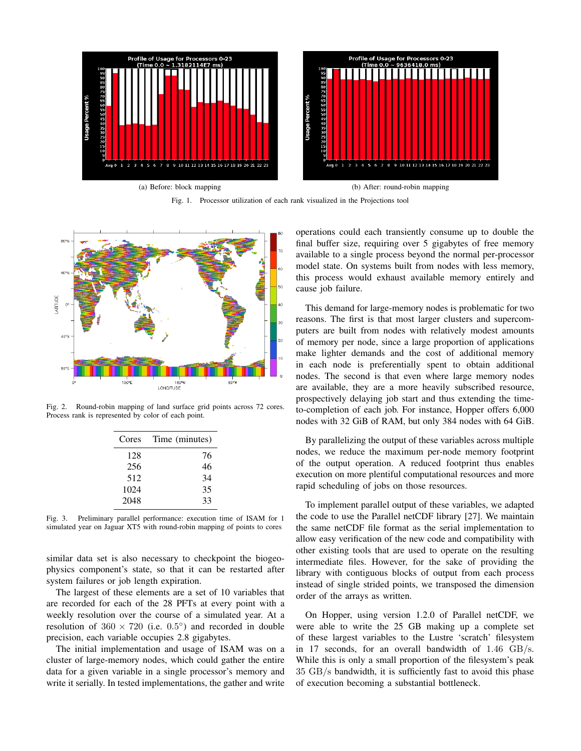

Fig. 1. Processor utilization of each rank visualized in the Projections tool



Fig. 2. Round-robin mapping of land surface grid points across 72 cores. Process rank is represented by color of each point.

| Cores | Time (minutes) |
|-------|----------------|
| 128   | 76             |
| 256   | 46             |
| 512   | 34             |
| 1024  | 35             |
| 2048  | 33             |

Fig. 3. Preliminary parallel performance: execution time of ISAM for 1 simulated year on Jaguar XT5 with round-robin mapping of points to cores

similar data set is also necessary to checkpoint the biogeophysics component's state, so that it can be restarted after system failures or job length expiration.

The largest of these elements are a set of 10 variables that are recorded for each of the 28 PFTs at every point with a weekly resolution over the course of a simulated year. At a resolution of  $360 \times 720$  (i.e.  $0.5^{\circ}$ ) and recorded in double precision, each variable occupies 2.8 gigabytes.

The initial implementation and usage of ISAM was on a cluster of large-memory nodes, which could gather the entire data for a given variable in a single processor's memory and write it serially. In tested implementations, the gather and write operations could each transiently consume up to double the final buffer size, requiring over 5 gigabytes of free memory available to a single process beyond the normal per-processor model state. On systems built from nodes with less memory, this process would exhaust available memory entirely and cause job failure.

This demand for large-memory nodes is problematic for two reasons. The first is that most larger clusters and supercomputers are built from nodes with relatively modest amounts of memory per node, since a large proportion of applications make lighter demands and the cost of additional memory in each node is preferentially spent to obtain additional nodes. The second is that even where large memory nodes are available, they are a more heavily subscribed resource, prospectively delaying job start and thus extending the timeto-completion of each job. For instance, Hopper offers 6,000 nodes with 32 GiB of RAM, but only 384 nodes with 64 GiB.

By parallelizing the output of these variables across multiple nodes, we reduce the maximum per-node memory footprint of the output operation. A reduced footprint thus enables execution on more plentiful computational resources and more rapid scheduling of jobs on those resources.

To implement parallel output of these variables, we adapted the code to use the Parallel netCDF library [27]. We maintain the same netCDF file format as the serial implementation to allow easy verification of the new code and compatibility with other existing tools that are used to operate on the resulting intermediate files. However, for the sake of providing the library with contiguous blocks of output from each process instead of single strided points, we transposed the dimension order of the arrays as written.

On Hopper, using version 1.2.0 of Parallel netCDF, we were able to write the 25 GB making up a complete set of these largest variables to the Lustre 'scratch' filesystem in 17 seconds, for an overall bandwidth of 1.46 GB/s. While this is only a small proportion of the filesystem's peak 35 GB/s bandwidth, it is sufficiently fast to avoid this phase of execution becoming a substantial bottleneck.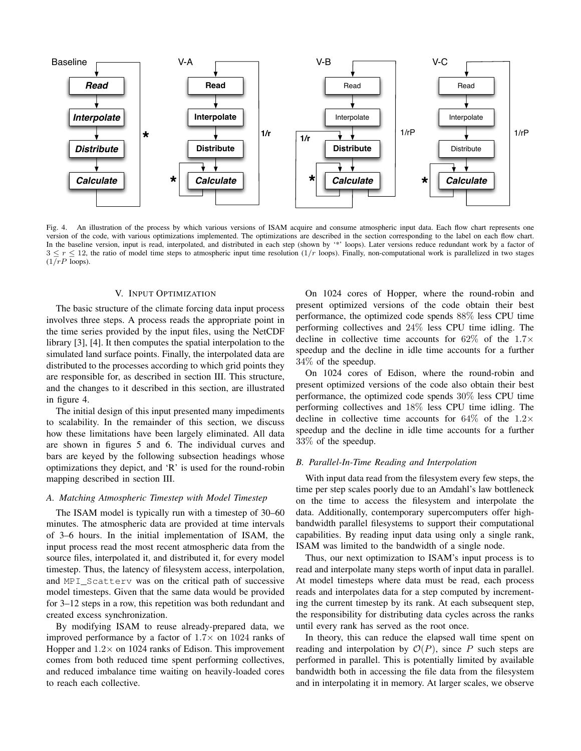

Fig. 4. An illustration of the process by which various versions of ISAM acquire and consume atmospheric input data. Each flow chart represents one version of the code, with various optimizations implemented. The optimizations are described in the section corresponding to the label on each flow chart. In the baseline version, input is read, interpolated, and distributed in each step (shown by '\*' loops). Later versions reduce redundant work by a factor of  $3 \le r \le 12$ , the ratio of model time steps to atmospheric input time resolution  $(1/r)$  loops). Finally, non-computational work is parallelized in two stages  $(1/\overline{rP} \overline{loops}).$ 

## V. INPUT OPTIMIZATION

The basic structure of the climate forcing data input process involves three steps. A process reads the appropriate point in the time series provided by the input files, using the NetCDF library [3], [4]. It then computes the spatial interpolation to the simulated land surface points. Finally, the interpolated data are distributed to the processes according to which grid points they are responsible for, as described in section III. This structure, and the changes to it described in this section, are illustrated in figure 4.

The initial design of this input presented many impediments to scalability. In the remainder of this section, we discuss how these limitations have been largely eliminated. All data are shown in figures 5 and 6. The individual curves and bars are keyed by the following subsection headings whose optimizations they depict, and 'R' is used for the round-robin mapping described in section III.

# *A. Matching Atmospheric Timestep with Model Timestep*

The ISAM model is typically run with a timestep of 30–60 minutes. The atmospheric data are provided at time intervals of 3–6 hours. In the initial implementation of ISAM, the input process read the most recent atmospheric data from the source files, interpolated it, and distributed it, for every model timestep. Thus, the latency of filesystem access, interpolation, and MPI\_Scatterv was on the critical path of successive model timesteps. Given that the same data would be provided for 3–12 steps in a row, this repetition was both redundant and created excess synchronization.

By modifying ISAM to reuse already-prepared data, we improved performance by a factor of  $1.7\times$  on 1024 ranks of Hopper and  $1.2 \times$  on 1024 ranks of Edison. This improvement comes from both reduced time spent performing collectives, and reduced imbalance time waiting on heavily-loaded cores to reach each collective.

On 1024 cores of Hopper, where the round-robin and present optimized versions of the code obtain their best performance, the optimized code spends 88% less CPU time performing collectives and 24% less CPU time idling. The decline in collective time accounts for  $62\%$  of the  $1.7\times$ speedup and the decline in idle time accounts for a further 34% of the speedup.

On 1024 cores of Edison, where the round-robin and present optimized versions of the code also obtain their best performance, the optimized code spends 30% less CPU time performing collectives and 18% less CPU time idling. The decline in collective time accounts for  $64\%$  of the  $1.2\times$ speedup and the decline in idle time accounts for a further 33% of the speedup.

# *B. Parallel-In-Time Reading and Interpolation*

With input data read from the filesystem every few steps, the time per step scales poorly due to an Amdahl's law bottleneck on the time to access the filesystem and interpolate the data. Additionally, contemporary supercomputers offer highbandwidth parallel filesystems to support their computational capabilities. By reading input data using only a single rank, ISAM was limited to the bandwidth of a single node.

Thus, our next optimization to ISAM's input process is to read and interpolate many steps worth of input data in parallel. At model timesteps where data must be read, each process reads and interpolates data for a step computed by incrementing the current timestep by its rank. At each subsequent step, the responsibility for distributing data cycles across the ranks until every rank has served as the root once.

In theory, this can reduce the elapsed wall time spent on reading and interpolation by  $\mathcal{O}(P)$ , since P such steps are performed in parallel. This is potentially limited by available bandwidth both in accessing the file data from the filesystem and in interpolating it in memory. At larger scales, we observe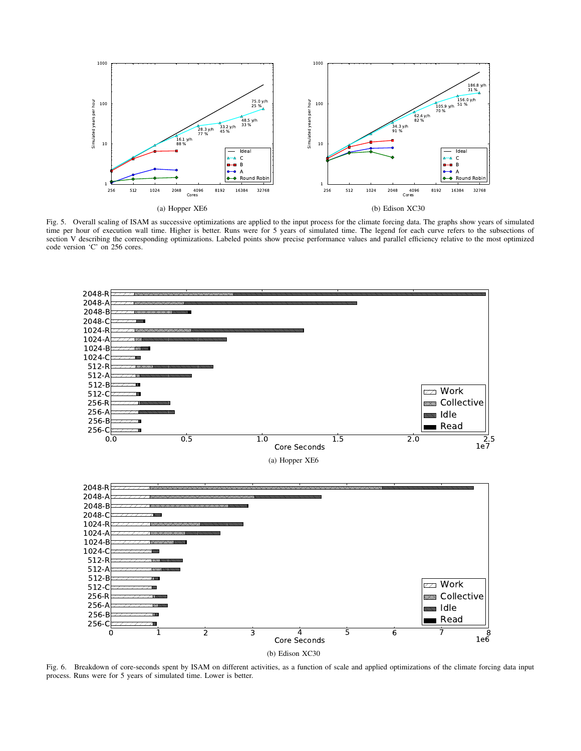

Fig. 5. Overall scaling of ISAM as successive optimizations are applied to the input process for the climate forcing data. The graphs show years of simulated time per hour of execution wall time. Higher is better. Runs were for 5 years of simulated time. The legend for each curve refers to the subsections of section V describing the corresponding optimizations. Labeled points show precise performance values and parallel efficiency relative to the most optimized code version 'C' on 256 cores.



Fig. 6. Breakdown of core-seconds spent by ISAM on different activities, as a function of scale and applied optimizations of the climate forcing data input process. Runs were for 5 years of simulated time. Lower is better.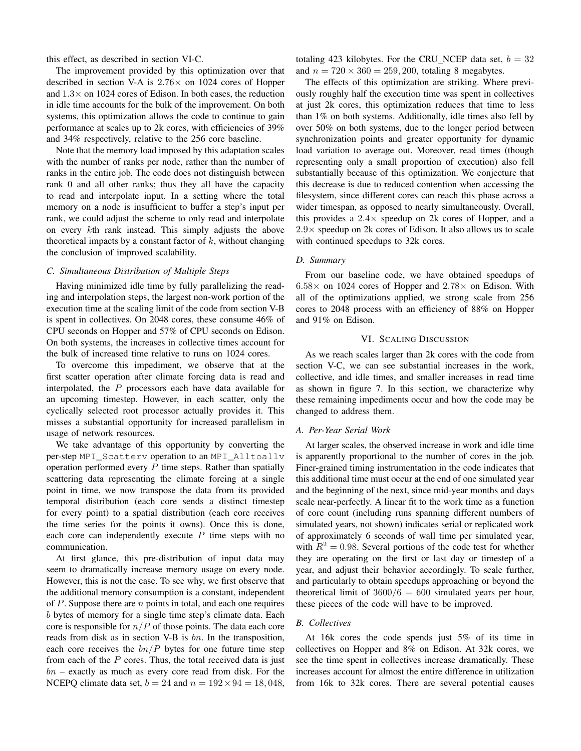this effect, as described in section VI-C.

The improvement provided by this optimization over that described in section V-A is  $2.76 \times$  on 1024 cores of Hopper and  $1.3\times$  on 1024 cores of Edison. In both cases, the reduction in idle time accounts for the bulk of the improvement. On both systems, this optimization allows the code to continue to gain performance at scales up to 2k cores, with efficiencies of 39% and 34% respectively, relative to the 256 core baseline.

Note that the memory load imposed by this adaptation scales with the number of ranks per node, rather than the number of ranks in the entire job. The code does not distinguish between rank 0 and all other ranks; thus they all have the capacity to read and interpolate input. In a setting where the total memory on a node is insufficient to buffer a step's input per rank, we could adjust the scheme to only read and interpolate on every kth rank instead. This simply adjusts the above theoretical impacts by a constant factor of  $k$ , without changing the conclusion of improved scalability.

# *C. Simultaneous Distribution of Multiple Steps*

Having minimized idle time by fully parallelizing the reading and interpolation steps, the largest non-work portion of the execution time at the scaling limit of the code from section V-B is spent in collectives. On 2048 cores, these consume 46% of CPU seconds on Hopper and 57% of CPU seconds on Edison. On both systems, the increases in collective times account for the bulk of increased time relative to runs on 1024 cores.

To overcome this impediment, we observe that at the first scatter operation after climate forcing data is read and interpolated, the  $P$  processors each have data available for an upcoming timestep. However, in each scatter, only the cyclically selected root processor actually provides it. This misses a substantial opportunity for increased parallelism in usage of network resources.

We take advantage of this opportunity by converting the per-step MPI\_Scatterv operation to an MPI\_Alltoallv operation performed every  $P$  time steps. Rather than spatially scattering data representing the climate forcing at a single point in time, we now transpose the data from its provided temporal distribution (each core sends a distinct timestep for every point) to a spatial distribution (each core receives the time series for the points it owns). Once this is done, each core can independently execute  $P$  time steps with no communication.

At first glance, this pre-distribution of input data may seem to dramatically increase memory usage on every node. However, this is not the case. To see why, we first observe that the additional memory consumption is a constant, independent of  $P$ . Suppose there are  $n$  points in total, and each one requires b bytes of memory for a single time step's climate data. Each core is responsible for  $n/P$  of those points. The data each core reads from disk as in section V-B is bn. In the transposition, each core receives the  $bn/P$  bytes for one future time step from each of the  $P$  cores. Thus, the total received data is just  $bn$  – exactly as much as every core read from disk. For the NCEPQ climate data set,  $b = 24$  and  $n = 192 \times 94 = 18,048$ , totaling 423 kilobytes. For the CRU NCEP data set,  $b = 32$ and  $n = 720 \times 360 = 259, 200$ , totaling 8 megabytes.

The effects of this optimization are striking. Where previously roughly half the execution time was spent in collectives at just 2k cores, this optimization reduces that time to less than 1% on both systems. Additionally, idle times also fell by over 50% on both systems, due to the longer period between synchronization points and greater opportunity for dynamic load variation to average out. Moreover, read times (though representing only a small proportion of execution) also fell substantially because of this optimization. We conjecture that this decrease is due to reduced contention when accessing the filesystem, since different cores can reach this phase across a wider timespan, as opposed to nearly simultaneously. Overall, this provides a  $2.4 \times$  speedup on 2k cores of Hopper, and a  $2.9\times$  speedup on 2k cores of Edison. It also allows us to scale with continued speedups to 32k cores.

# *D. Summary*

From our baseline code, we have obtained speedups of  $6.58\times$  on 1024 cores of Hopper and  $2.78\times$  on Edison. With all of the optimizations applied, we strong scale from 256 cores to 2048 process with an efficiency of 88% on Hopper and 91% on Edison.

# VI. SCALING DISCUSSION

As we reach scales larger than 2k cores with the code from section V-C, we can see substantial increases in the work, collective, and idle times, and smaller increases in read time as shown in figure 7. In this section, we characterize why these remaining impediments occur and how the code may be changed to address them.

## *A. Per-Year Serial Work*

At larger scales, the observed increase in work and idle time is apparently proportional to the number of cores in the job. Finer-grained timing instrumentation in the code indicates that this additional time must occur at the end of one simulated year and the beginning of the next, since mid-year months and days scale near-perfectly. A linear fit to the work time as a function of core count (including runs spanning different numbers of simulated years, not shown) indicates serial or replicated work of approximately 6 seconds of wall time per simulated year, with  $R^2 = 0.98$ . Several portions of the code test for whether they are operating on the first or last day or timestep of a year, and adjust their behavior accordingly. To scale further, and particularly to obtain speedups approaching or beyond the theoretical limit of  $3600/6 = 600$  simulated years per hour, these pieces of the code will have to be improved.

# *B. Collectives*

At 16k cores the code spends just 5% of its time in collectives on Hopper and 8% on Edison. At 32k cores, we see the time spent in collectives increase dramatically. These increases account for almost the entire difference in utilization from 16k to 32k cores. There are several potential causes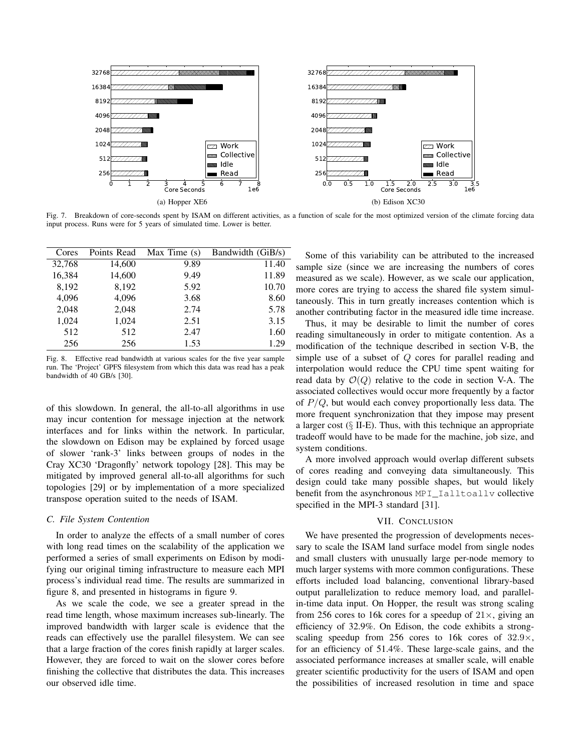

Fig. 7. Breakdown of core-seconds spent by ISAM on different activities, as a function of scale for the most optimized version of the climate forcing data input process. Runs were for 5 years of simulated time. Lower is better.

| Cores  | Points Read | Max Time $(s)$ | Bandwidth (GiB/s) |
|--------|-------------|----------------|-------------------|
| 32,768 | 14,600      | 9.89           | 11.40             |
| 16,384 | 14,600      | 9.49           | 11.89             |
| 8,192  | 8,192       | 5.92           | 10.70             |
| 4,096  | 4,096       | 3.68           | 8.60              |
| 2,048  | 2,048       | 2.74           | 5.78              |
| 1,024  | 1,024       | 2.51           | 3.15              |
| 512    | 512         | 2.47           | 1.60              |
| 256    | 256         | 1.53           | 1.29              |

Fig. 8. Effective read bandwidth at various scales for the five year sample run. The 'Project' GPFS filesystem from which this data was read has a peak bandwidth of 40 GB/s [30].

of this slowdown. In general, the all-to-all algorithms in use may incur contention for message injection at the network interfaces and for links within the network. In particular, the slowdown on Edison may be explained by forced usage of slower 'rank-3' links between groups of nodes in the Cray XC30 'Dragonfly' network topology [28]. This may be mitigated by improved general all-to-all algorithms for such topologies [29] or by implementation of a more specialized transpose operation suited to the needs of ISAM.

### *C. File System Contention*

In order to analyze the effects of a small number of cores with long read times on the scalability of the application we performed a series of small experiments on Edison by modifying our original timing infrastructure to measure each MPI process's individual read time. The results are summarized in figure 8, and presented in histograms in figure 9.

As we scale the code, we see a greater spread in the read time length, whose maximum increases sub-linearly. The improved bandwidth with larger scale is evidence that the reads can effectively use the parallel filesystem. We can see that a large fraction of the cores finish rapidly at larger scales. However, they are forced to wait on the slower cores before finishing the collective that distributes the data. This increases our observed idle time.

Some of this variability can be attributed to the increased sample size (since we are increasing the numbers of cores measured as we scale). However, as we scale our application, more cores are trying to access the shared file system simultaneously. This in turn greatly increases contention which is another contributing factor in the measured idle time increase.

Thus, it may be desirable to limit the number of cores reading simultaneously in order to mitigate contention. As a modification of the technique described in section V-B, the simple use of a subset of Q cores for parallel reading and interpolation would reduce the CPU time spent waiting for read data by  $\mathcal{O}(Q)$  relative to the code in section V-A. The associated collectives would occur more frequently by a factor of  $P/Q$ , but would each convey proportionally less data. The more frequent synchronization that they impose may present a larger cost  $(\S$  II-E). Thus, with this technique an appropriate tradeoff would have to be made for the machine, job size, and system conditions.

A more involved approach would overlap different subsets of cores reading and conveying data simultaneously. This design could take many possible shapes, but would likely benefit from the asynchronous MPI\_Ialltoally collective specified in the MPI-3 standard [31].

# VII. CONCLUSION

We have presented the progression of developments necessary to scale the ISAM land surface model from single nodes and small clusters with unusually large per-node memory to much larger systems with more common configurations. These efforts included load balancing, conventional library-based output parallelization to reduce memory load, and parallelin-time data input. On Hopper, the result was strong scaling from 256 cores to 16k cores for a speedup of  $21 \times$ , giving an efficiency of 32.9%. On Edison, the code exhibits a strongscaling speedup from 256 cores to 16k cores of  $32.9\times$ , for an efficiency of 51.4%. These large-scale gains, and the associated performance increases at smaller scale, will enable greater scientific productivity for the users of ISAM and open the possibilities of increased resolution in time and space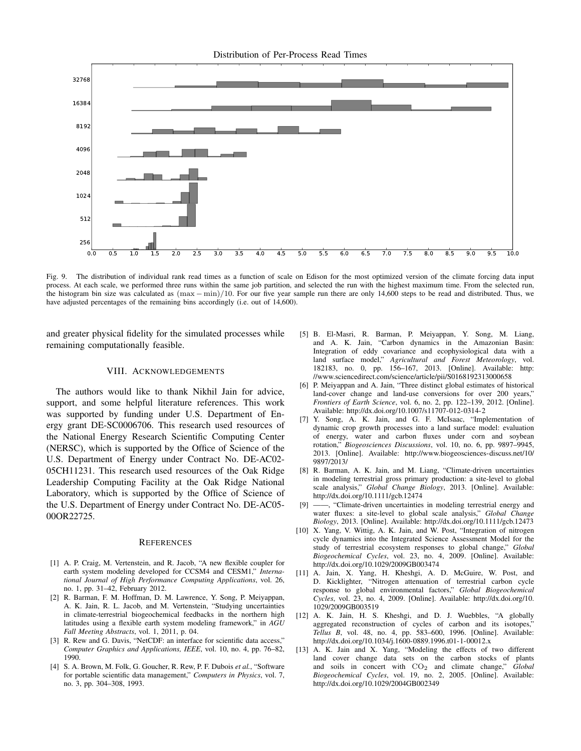Distribution of Per-Process Read Times



Fig. 9. The distribution of individual rank read times as a function of scale on Edison for the most optimized version of the climate forcing data input process. At each scale, we performed three runs within the same job partition, and selected the run with the highest maximum time. From the selected run, the histogram bin size was calculated as (max − min)/10. For our five year sample run there are only 14,600 steps to be read and distributed. Thus, we have adjusted percentages of the remaining bins accordingly (i.e. out of 14,600).

and greater physical fidelity for the simulated processes while remaining computationally feasible.

## VIII. ACKNOWLEDGEMENTS

The authors would like to thank Nikhil Jain for advice, support, and some helpful literature references. This work was supported by funding under U.S. Department of Energy grant DE-SC0006706. This research used resources of the National Energy Research Scientific Computing Center (NERSC), which is supported by the Office of Science of the U.S. Department of Energy under Contract No. DE-AC02- 05CH11231. This research used resources of the Oak Ridge Leadership Computing Facility at the Oak Ridge National Laboratory, which is supported by the Office of Science of the U.S. Department of Energy under Contract No. DE-AC05- 00OR22725.

#### REFERENCES

- [1] A. P. Craig, M. Vertenstein, and R. Jacob, "A new flexible coupler for earth system modeling developed for CCSM4 and CESM1," *International Journal of High Performance Computing Applications*, vol. 26, no. 1, pp. 31–42, February 2012.
- [2] R. Barman, F. M. Hoffman, D. M. Lawrence, Y. Song, P. Meiyappan, A. K. Jain, R. L. Jacob, and M. Vertenstein, "Studying uncertainties in climate-terrestrial biogeochemical feedbacks in the northern high latitudes using a flexible earth system modeling framework," in *AGU Fall Meeting Abstracts*, vol. 1, 2011, p. 04.
- [3] R. Rew and G. Davis, "NetCDF: an interface for scientific data access," *Computer Graphics and Applications, IEEE*, vol. 10, no. 4, pp. 76–82, 1990.
- [4] S. A. Brown, M. Folk, G. Goucher, R. Rew, P. F. Dubois *et al.*, "Software for portable scientific data management," *Computers in Physics*, vol. 7, no. 3, pp. 304–308, 1993.
- [5] B. El-Masri, R. Barman, P. Meiyappan, Y. Song, M. Liang, and A. K. Jain, "Carbon dynamics in the Amazonian Basin: Integration of eddy covariance and ecophysiological data with a land surface model," *Agricultural and Forest Meteorology*, vol. 182183, no. 0, pp. 156–167, 2013. [Online]. Available: http: //www.sciencedirect.com/science/article/pii/S0168192313000658
- [6] P. Meiyappan and A. Jain, "Three distinct global estimates of historical land-cover change and land-use conversions for over 200 years." *Frontiers of Earth Science*, vol. 6, no. 2, pp. 122–139, 2012. [Online]. Available: http://dx.doi.org/10.1007/s11707-012-0314-2
- [7] Y. Song, A. K. Jain, and G. F. McIsaac, "Implementation of dynamic crop growth processes into a land surface model: evaluation of energy, water and carbon fluxes under corn and soybean rotation," *Biogeosciences Discussions*, vol. 10, no. 6, pp. 9897–9945, 2013. [Online]. Available: http://www.biogeosciences-discuss.net/10/ 9897/2013/
- [8] R. Barman, A. K. Jain, and M. Liang, "Climate-driven uncertainties in modeling terrestrial gross primary production: a site-level to global scale analysis," *Global Change Biology*, 2013. [Online]. Available: http://dx.doi.org/10.1111/gcb.12474
- [9] ——, "Climate-driven uncertainties in modeling terrestrial energy and water fluxes: a site-level to global scale analysis," *Global Change Biology*, 2013. [Online]. Available: http://dx.doi.org/10.1111/gcb.12473
- [10] X. Yang, V. Wittig, A. K. Jain, and W. Post, "Integration of nitrogen cycle dynamics into the Integrated Science Assessment Model for the study of terrestrial ecosystem responses to global change," *Global Biogeochemical Cycles*, vol. 23, no. 4, 2009. [Online]. Available: http://dx.doi.org/10.1029/2009GB003474
- [11] A. Jain, X. Yang, H. Kheshgi, A. D. McGuire, W. Post, and D. Kicklighter, "Nitrogen attenuation of terrestrial carbon cycle response to global environmental factors," *Global Biogeochemical Cycles*, vol. 23, no. 4, 2009. [Online]. Available: http://dx.doi.org/10. 1029/2009GB003519
- [12] A. K. Jain, H. S. Kheshgi, and D. J. Wuebbles, "A globally aggregated reconstruction of cycles of carbon and its isotopes," *Tellus B*, vol. 48, no. 4, pp. 583–600, 1996. [Online]. Available: http://dx.doi.org/10.1034/j.1600-0889.1996.t01-1-00012.x
- [13] A. K. Jain and X. Yang, "Modeling the effects of two different land cover change data sets on the carbon stocks of plants and soils in concert with  $CO<sub>2</sub>$  and climate change," *Global Biogeochemical Cycles*, vol. 19, no. 2, 2005. [Online]. Available: http://dx.doi.org/10.1029/2004GB002349